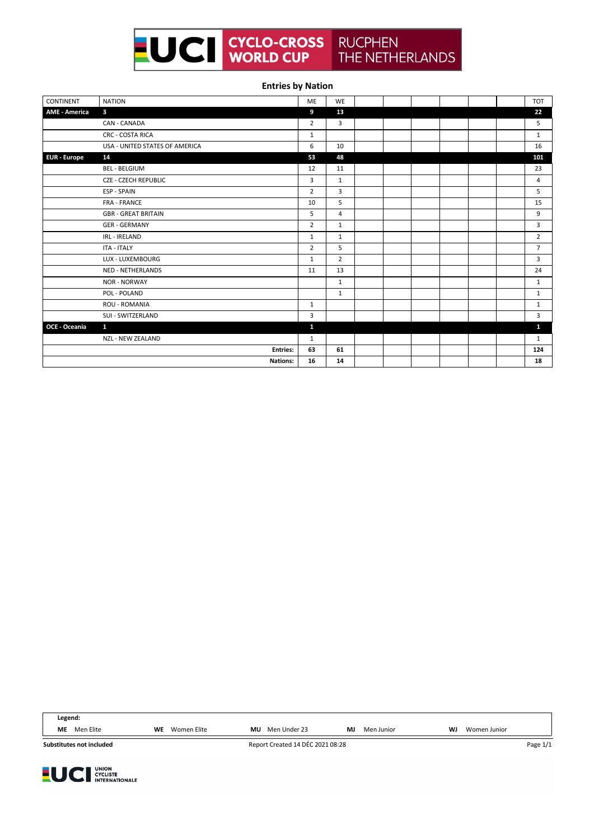

## **Entries by Nation**

| <b>CONTINENT</b>     | <b>NATION</b>                  | ME             | <b>WE</b>      |  |  |  | <b>TOT</b>     |
|----------------------|--------------------------------|----------------|----------------|--|--|--|----------------|
| <b>AME - America</b> | $\overline{\mathbf{3}}$        | 9              | 13             |  |  |  | 22             |
|                      | CAN - CANADA                   | $\overline{2}$ | 3              |  |  |  | 5              |
|                      | <b>CRC - COSTA RICA</b>        | 1              |                |  |  |  | $\mathbf{1}$   |
|                      | USA - UNITED STATES OF AMERICA | 6              | 10             |  |  |  | 16             |
| <b>EUR</b> - Europe  | 14                             | 53             | 48             |  |  |  | 101            |
|                      | <b>BEL - BELGIUM</b>           | 12             | 11             |  |  |  | 23             |
|                      | <b>CZE - CZECH REPUBLIC</b>    | 3              | $\mathbf{1}$   |  |  |  | $\overline{4}$ |
|                      | ESP - SPAIN                    | $\overline{2}$ | 3              |  |  |  | 5              |
|                      | <b>FRA - FRANCE</b>            | 10             | 5              |  |  |  | 15             |
|                      | <b>GBR - GREAT BRITAIN</b>     | 5              | $\overline{4}$ |  |  |  | 9              |
|                      | <b>GER - GERMANY</b>           | $\overline{2}$ | $\mathbf{1}$   |  |  |  | 3              |
|                      | IRL - IRELAND                  | 1              | $\mathbf{1}$   |  |  |  | $\overline{2}$ |
|                      | <b>ITA - ITALY</b>             | $\overline{2}$ | 5              |  |  |  | $\overline{7}$ |
|                      | LUX - LUXEMBOURG               | $\mathbf{1}$   | $\overline{2}$ |  |  |  | 3              |
|                      | <b>NED - NETHERLANDS</b>       | 11             | 13             |  |  |  | 24             |
|                      | <b>NOR - NORWAY</b>            |                | $\mathbf{1}$   |  |  |  | $\mathbf{1}$   |
|                      | POL - POLAND                   |                | $\mathbf{1}$   |  |  |  | $\mathbf{1}$   |
|                      | <b>ROU - ROMANIA</b>           | $\mathbf{1}$   |                |  |  |  | 1              |
|                      | SUI - SWITZERLAND              | 3              |                |  |  |  | 3              |
| OCE - Oceania        | $\mathbf{1}$                   | $\mathbf{1}$   |                |  |  |  | 1              |
|                      | <b>NZL - NEW ZEALAND</b>       | 1              |                |  |  |  | $\mathbf{1}$   |
|                      | <b>Entries:</b>                | 63             | 61             |  |  |  | 124            |
|                      | <b>Nations:</b>                | 16             | 14             |  |  |  | 18             |

**Legend: ME** Men Elite **WE** Women Elite **MU** Men Under 23 **MJ** Men Junior **WJ** Women Junior

**Substitutes not included**



Report Created 14 DÉC 2021 08:28 Page 1/1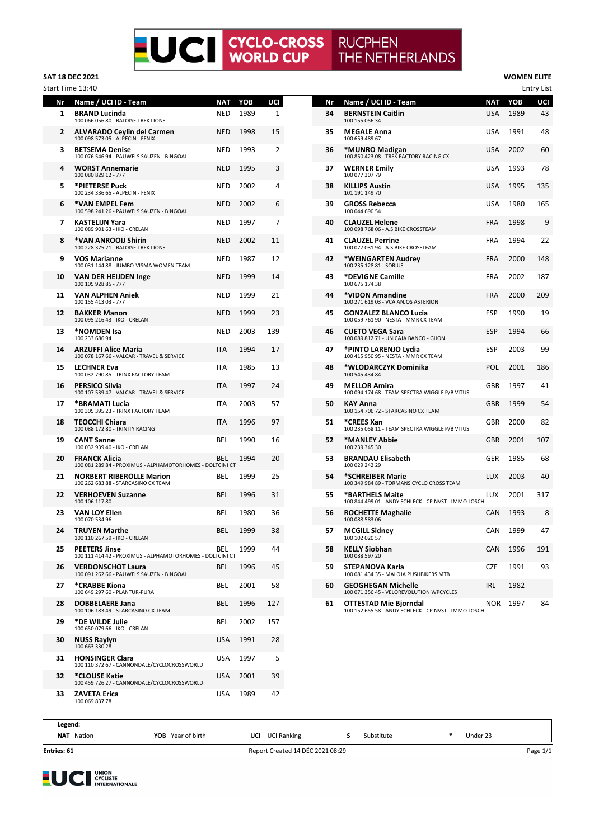## **LUCI** CYCLO-CROSS **RUCPHEN** THE NETHERLANDS

**SAT 18 DEC 2021 WOMEN ELITE**

| Nr<br>1 | Name / UCI ID - Team<br><b>BRAND Lucinda</b>                                      | <b>NAT</b><br><b>NED</b> | YOB<br>1989 | UCI<br>1 | Nr<br>34 | Name / UCI ID - Team<br><b>BERNSTEIN Caitlin</b>                              | <b>NAT</b><br>USA | YOB<br>1989 | UCI<br>43  |
|---------|-----------------------------------------------------------------------------------|--------------------------|-------------|----------|----------|-------------------------------------------------------------------------------|-------------------|-------------|------------|
| 2       | 100 066 056 80 - BALOISE TREK LIONS<br><b>ALVARADO Ceylin del Carmen</b>          | NED                      | 1998        | 15       | 35       | 100 155 056 34<br><b>MEGALE Anna</b>                                          | USA               | 1991        | 48         |
|         | 100 098 573 05 - ALPECIN - FENIX                                                  |                          |             |          |          | 100 659 489 67                                                                |                   |             |            |
| 3       | <b>BETSEMA Denise</b><br>100 076 546 94 - PAUWELS SAUZEN - BINGOAL                | NED                      | 1993        | 2        | 36       | *MUNRO Madigan<br>100 850 423 08 - TREK FACTORY RACING CX                     | USA               | 2002        | 6С         |
| 4       | <b>WORST Annemarie</b><br>100 080 829 12 - 777                                    | <b>NED</b>               | 1995        | 3        | 37       | <b>WERNER Emily</b><br>100 077 307 79                                         | USA               | 1993        | 78         |
| 5       | *PIETERSE Puck<br>100 234 336 65 - ALPECIN - FENIX                                | <b>NED</b>               | 2002        | 4        | 38       | <b>KILLIPS Austin</b><br>101 191 149 70                                       | USA               | 1995        | 135        |
| 6       | *VAN EMPEL Fem<br>100 598 241 26 - PAUWELS SAUZEN - BINGOAL                       | <b>NED</b>               | 2002        | 6        | 39       | <b>GROSS Rebecca</b><br>100 044 690 54                                        | USA               | 1980        | 165        |
| 7       | <b>KASTELIJN Yara</b><br>100 089 901 63 - IKO - CRELAN                            | NED                      | 1997        | 7        | 40       | <b>CLAUZEL Helene</b><br>100 098 768 06 - A.S BIKE CROSSTEAM                  | <b>FRA</b>        | 1998        |            |
| 8       | *VAN ANROOIJ Shirin<br>100 228 375 21 - BALOISE TREK LIONS                        | <b>NED</b>               | 2002        | 11       | 41       | <b>CLAUZEL Perrine</b><br>100 077 031 94 - A.S BIKE CROSSTEAM                 | <b>FRA</b>        | 1994        | 22         |
| 9       | VOS Marianne<br>100 031 144 88 - JUMBO-VISMA WOMEN TEAM                           | NED                      | 1987        | 12       | 42       | *WEINGARTEN Audrey<br>100 235 128 81 - SORIUS                                 | FRA               | 2000        | 148        |
| 10      | <b>VAN DER HEIJDEN Inge</b><br>100 105 928 85 - 777                               | <b>NED</b>               | 1999        | 14       | 43       | *DEVIGNE Camille<br>100 675 174 38                                            | <b>FRA</b>        | 2002        | 187        |
| 11      | <b>VAN ALPHEN Aniek</b><br>100 155 413 03 - 777                                   | NED                      | 1999        | 21       | 44       | *VIDON Amandine<br>100 271 619 03 - VCA ANJOS ASTERION                        | FRA               | 2000        | <b>209</b> |
| 12      | <b>BAKKER Manon</b><br>100 095 216 43 - IKO - CRELAN                              | <b>NED</b>               | 1999        | 23       | 45       | <b>GONZALEZ BLANCO Lucia</b><br>100 059 761 90 - NESTA - MMR CX TEAM          | ESP               | 1990        | 19         |
| 13      | *NOMDEN Isa<br>100 233 686 94                                                     | NED                      | 2003        | 139      | 46       | <b>CUETO VEGA Sara</b><br>100 089 812 71 - UNICAJA BANCO - GIJON              | <b>ESP</b>        | 1994        | 66         |
| 14      | <b>ARZUFFI Alice Maria</b><br>100 078 167 66 - VALCAR - TRAVEL & SERVICE          | <b>ITA</b>               | 1994        | 17       | 47       | *PINTO LARENJO Lydia<br>100 415 950 95 - NESTA - MMR CX TEAM                  | <b>ESP</b>        | 2003        | 99         |
| 15      | <b>LECHNER Eva</b><br>100 032 790 85 - TRINX FACTORY TEAM                         | ITA                      | 1985        | 13       | 48       | *WLODARCZYK Dominika<br>100 545 434 84                                        | POL               | 2001        | 186        |
| 16      | <b>PERSICO Silvia</b><br>100 107 539 47 - VALCAR - TRAVEL & SERVICE               | <b>ITA</b>               | 1997        | 24       | 49       | <b>MELLOR Amira</b><br>100 094 174 68 - TEAM SPECTRA WIGGLE P/B VITUS         | GBR               | 1997        | 41         |
| 17      | *BRAMATI Lucia<br>100 305 395 23 - TRINX FACTORY TEAM                             | <b>ITA</b>               | 2003        | 57       | 50       | KAY Anna<br>100 154 706 72 - STARCASINO CX TEAM                               | GBR               | 1999        | 54         |
| 18      | <b>TEOCCHI Chiara</b><br>100 088 172 80 - TRINITY RACING                          | <b>ITA</b>               | 1996        | 97       | 51       | *CREES Xan<br>100 235 058 11 - TEAM SPECTRA WIGGLE P/B VITUS                  | GBR               | 2000        | 82         |
| 19      | <b>CANT Sanne</b><br>100 032 939 40 - IKO - CRELAN                                | BEL                      | 1990        | 16       | 52       | *MANLEY Abbie<br>100 239 345 30                                               | <b>GBR</b>        | 2001        | 107        |
| 20      | <b>FRANCK Alicia</b><br>100 081 289 84 - PROXIMUS - ALPHAMOTORHOMES - DOLTCINI CT | <b>BEL</b>               | 1994        | 20       | 53       | <b>BRANDAU Elisabeth</b><br>100 029 242 29                                    | GER               | 1985        | 68         |
| 21      | <b>NORBERT RIBEROLLE Marion</b><br>100 262 683 88 - STARCASINO CX TEAM            | BEL                      | 1999        | 25       | 54       | *SCHREIBER Marie<br>100 349 984 89 - TORMANS CYCLO CROSS TEAM                 | LUX               | 2003        | 4C         |
| 22      | <b>VERHOEVEN Suzanne</b><br>100 106 117 80                                        | BEL                      | 1996        | 31       | 55       | *BARTHELS Maite<br>100 844 499 01 - ANDY SCHLECK - CP NVST - IMMO LOSCH       | <b>LUX</b>        | 2001        | 317        |
| 23      | <b>VAN LOY Ellen</b><br>100 070 534 96                                            | BEL                      | 1980        | 36       | 56       | <b>ROCHETTE Maghalie</b><br>100 088 583 06                                    | CAN               | 1993        |            |
| 24      | <b>TRUYEN Marthe</b><br>100 110 267 59 - IKO - CRELAN                             | <b>BEL</b>               | 1999        | 38       | 57       | <b>MCGILL Sidney</b><br>100 102 020 57                                        | CAN               | 1999        | 47         |
| 25      | <b>PEETERS Jinse</b><br>100 111 414 42 - PROXIMUS - ALPHAMOTORHOMES - DOLTCINI CT | BEL                      | 1999        | 44       | 58       | <b>KELLY Siobhan</b><br>100 088 597 20                                        | CAN               | 1996        | 191        |
| 26      | <b>VERDONSCHOT Laura</b><br>100 091 262 66 - PAUWELS SAUZEN - BINGOAL             | <b>BEL</b>               | 1996        | 45       | 59       | STEPANOVA Karla<br>100 081 434 35 - MALOJA PUSHBIKERS MTB                     | CZE               | 1991        | 93         |
| 27      | *CRABBE Kiona<br>100 649 297 60 - PLANTUR-PURA                                    | <b>BEL</b>               | 2001        | 58       | 60       | <b>GEOGHEGAN Michelle</b><br>100 071 356 45 - VELOREVOLUTION WPCYCLES         | IRL               | 1982        |            |
| 28      | <b>DOBBELAERE Jana</b><br>100 106 183 49 - STARCASINO CX TEAM                     | <b>BEL</b>               | 1996        | 127      | 61       | OTTESTAD Mie Bjorndal<br>100 152 655 58 - ANDY SCHLECK - CP NVST - IMMO LOSCH |                   | NOR 1997    | 84         |
| 29      | *DE WILDE Julie<br>100 650 079 66 - IKO - CRELAN                                  | BEL.                     | 2002        | 157      |          |                                                                               |                   |             |            |
| 30      | <b>NUSS Raylyn</b><br>100 663 330 28                                              | <b>USA</b>               | 1991        | 28       |          |                                                                               |                   |             |            |
| 31      | <b>HONSINGER Clara</b><br>100 110 372 67 - CANNONDALE/CYCLOCROSSWORLD             | USA                      | 1997        | 5        |          |                                                                               |                   |             |            |
| 32      | *CLOUSE Katie<br>100 459 726 27 - CANNONDALE/CYCLOCROSSWORLD                      | USA                      | 2001        | 39       |          |                                                                               |                   |             |            |
| 33      | <b>ZAVETA Erica</b><br>100 069 837 78                                             | <b>USA</b>               | 1989        | 42       |          |                                                                               |                   |             |            |

| Start Time 13:40 |                                                                                   |            |      |                |    |                                                                                      |            |      | <b>Entry List</b> |
|------------------|-----------------------------------------------------------------------------------|------------|------|----------------|----|--------------------------------------------------------------------------------------|------------|------|-------------------|
| Nr               | Name / UCI ID - Team                                                              | <b>NAT</b> | YOB  | UCI            | Nr | Name / UCI ID - Team                                                                 | <b>NAT</b> | YOB  | UCI               |
| 1                | <b>BRAND Lucinda</b><br>100 066 056 80 - BALOISE TREK LIONS                       | <b>NED</b> | 1989 | $\mathbf{1}$   | 34 | <b>BERNSTEIN Caitlin</b><br>100 155 056 34                                           | <b>USA</b> | 1989 | 43                |
| $\overline{2}$   | <b>ALVARADO Ceylin del Carmen</b><br>100 098 573 05 - ALPECIN - FENIX             | <b>NED</b> | 1998 | 15             | 35 | <b>MEGALE Anna</b><br>100 659 489 67                                                 | <b>USA</b> | 1991 | 48                |
| з                | <b>BETSEMA Denise</b><br>100 076 546 94 - PAUWELS SAUZEN - BINGOAL                | <b>NED</b> | 1993 | $\overline{2}$ | 36 | *MUNRO Madigan<br>100 850 423 08 - TREK FACTORY RACING CX                            | <b>USA</b> | 2002 | 60                |
| 4                | <b>WORST Annemarie</b><br>100 080 829 12 - 777                                    | <b>NED</b> | 1995 | 3              | 37 | <b>WERNER Emily</b><br>100 077 307 79                                                | USA        | 1993 | 78                |
| 5                | *PIETERSE Puck<br>100 234 336 65 - ALPECIN - FENIX                                | NED        | 2002 | 4              | 38 | <b>KILLIPS Austin</b><br>101 191 149 70                                              | USA        | 1995 | 135               |
| 6                | *VAN EMPEL Fem<br>100 598 241 26 - PAUWELS SAUZEN - BINGOAL                       | <b>NED</b> | 2002 | 6              | 39 | <b>GROSS Rebecca</b><br>100 044 690 54                                               | <b>USA</b> | 1980 | 165               |
| 7                | <b>KASTELIJN Yara</b><br>100 089 901 63 - IKO - CRELAN                            | <b>NED</b> | 1997 | $\overline{7}$ | 40 | <b>CLAUZEL Helene</b><br>100 098 768 06 - A.S BIKE CROSSTEAM                         | <b>FRA</b> | 1998 | 9                 |
| 8                | *VAN ANROOIJ Shirin<br>100 228 375 21 - BALOISE TREK LIONS                        | <b>NED</b> | 2002 | 11             | 41 | <b>CLAUZEL Perrine</b><br>100 077 031 94 - A.S BIKE CROSSTEAM                        | <b>FRA</b> | 1994 | 22                |
| 9                | <b>VOS Marianne</b><br>100 031 144 88 - JUMBO-VISMA WOMEN TEAM                    | <b>NED</b> | 1987 | 12             | 42 | *WEINGARTEN Audrey<br>100 235 128 81 - SORIUS                                        | FRA        | 2000 | 148               |
| 10               | <b>VAN DER HEIJDEN Inge</b><br>100 105 928 85 - 777                               | <b>NED</b> | 1999 | 14             | 43 | *DEVIGNE Camille<br>100 675 174 38                                                   | <b>FRA</b> | 2002 | 187               |
| 11               | <b>VAN ALPHEN Aniek</b><br>100 155 413 03 - 777                                   | NED        | 1999 | 21             | 44 | *VIDON Amandine<br>100 271 619 03 - VCA ANJOS ASTERION                               | <b>FRA</b> | 2000 | 209               |
| 12               | <b>BAKKER Manon</b><br>100 095 216 43 - IKO - CRELAN                              | <b>NED</b> | 1999 | 23             | 45 | <b>GONZALEZ BLANCO Lucia</b><br>100 059 761 90 - NESTA - MMR CX TEAM                 | ESP        | 1990 | 19                |
| 13               | *NOMDEN Isa<br>100 233 686 94                                                     | <b>NED</b> | 2003 | 139            | 46 | <b>CUETO VEGA Sara</b><br>100 089 812 71 - UNICAJA BANCO - GIJON                     | <b>ESP</b> | 1994 | 66                |
| 14               | <b>ARZUFFI Alice Maria</b><br>100 078 167 66 - VALCAR - TRAVEL & SERVICE          | <b>ITA</b> | 1994 | 17             | 47 | *PINTO LARENJO Lydia<br>100 415 950 95 - NESTA - MMR CX TEAM                         | <b>ESP</b> | 2003 | 99                |
| 15               | <b>LECHNER Eva</b><br>100 032 790 85 - TRINX FACTORY TEAM                         | <b>ITA</b> | 1985 | 13             | 48 | *WLODARCZYK Dominika<br>100 545 434 84                                               | <b>POL</b> | 2001 | 186               |
| 16               | <b>PERSICO Silvia</b><br>100 107 539 47 - VALCAR - TRAVEL & SERVICE               | <b>ITA</b> | 1997 | 24             | 49 | <b>MELLOR Amira</b><br>100 094 174 68 - TEAM SPECTRA WIGGLE P/B VITUS                | GBR        | 1997 | 41                |
| 17               | *BRAMATI Lucia<br>100 305 395 23 - TRINX FACTORY TEAM                             | ITA        | 2003 | 57             | 50 | <b>KAY Anna</b><br>100 154 706 72 - STARCASINO CX TEAM                               | GBR        | 1999 | 54                |
| 18               | <b>TEOCCHI Chiara</b><br>100 088 172 80 - TRINITY RACING                          | <b>ITA</b> | 1996 | 97             | 51 | *CREES Xan<br>100 235 058 11 - TEAM SPECTRA WIGGLE P/B VITUS                         | GBR        | 2000 | 82                |
| 19               | <b>CANT Sanne</b><br>100 032 939 40 - IKO - CRELAN                                | BEL        | 1990 | 16             | 52 | *MANLEY Abbie<br>100 239 345 30                                                      | GBR        | 2001 | 107               |
| 20               | <b>FRANCK Alicia</b><br>100 081 289 84 - PROXIMUS - ALPHAMOTORHOMES - DOLTCINI CT | BEL        | 1994 | 20             | 53 | <b>BRANDAU Elisabeth</b><br>100 029 242 29                                           | <b>GER</b> | 1985 | 68                |
| 21               | <b>NORBERT RIBEROLLE Marion</b><br>100 262 683 88 - STARCASINO CX TEAM            | BEL        | 1999 | 25             | 54 | *SCHREIBER Marie<br>100 349 984 89 - TORMANS CYCLO CROSS TEAM                        | <b>LUX</b> | 2003 | 40                |
| 22               | <b>VERHOEVEN Suzanne</b><br>100 106 117 80                                        | <b>BEL</b> | 1996 | 31             | 55 | *BARTHELS Maite<br>100 844 499 01 - ANDY SCHLECK - CP NVST - IMMO LOSCH              | <b>LUX</b> | 2001 | 317               |
| 23               | <b>VAN LOY Ellen</b><br>100 070 534 96                                            | <b>BEL</b> | 1980 | 36             | 56 | <b>ROCHETTE Maghalie</b><br>100 088 583 06                                           | CAN        | 1993 | 8                 |
| 24               | <b>TRUYEN Marthe</b><br>100 110 267 59 - IKO - CRELAN                             | BEL        | 1999 | 38             | 57 | <b>MCGILL Sidney</b><br>100 102 020 57                                               | CAN        | 1999 | 47                |
| 25               | <b>PEETERS Jinse</b><br>100 111 414 42 - PROXIMUS - ALPHAMOTORHOMES - DOLTCINI CT | BEL        | 1999 | 44             | 58 | <b>KELLY Siobhan</b><br>100 088 597 20                                               | <b>CAN</b> | 1996 | 191               |
| 26               | <b>VERDONSCHOT Laura</b><br>100 091 262 66 - PAUWELS SAUZEN - BINGOAL             | BEL        | 1996 | 45             | 59 | STEPANOVA Karla<br>100 081 434 35 - MALOJA PUSHBIKERS MTB                            | CZE        | 1991 | 93                |
| 27               | *CRABBE Kiona<br>100 649 297 60 - PLANTUR-PURA                                    | BEL        | 2001 | 58             | 60 | <b>GEOGHEGAN Michelle</b><br>100 071 356 45 - VELOREVOLUTION WPCYCLES                | <b>IRL</b> | 1982 |                   |
| 28               | <b>DOBBELAERE Jana</b><br>100 106 183 49 - STARCASINO CX TEAM                     | <b>BEL</b> | 1996 | 127            | 61 | <b>OTTESTAD Mie Biorndal</b><br>100 152 655 58 - ANDY SCHLECK - CP NVST - IMMO LOSCH | NOR 1997   |      | 84                |

**Legend:**

**Entries: 61**

**NAT** Nation **YOB** Year of birth **UCI** UCI Ranking **S** Substitute **\*** Under 23

Report Created 14 DÉC 2021 08:29 Page 1/1

**LUCI** UNION